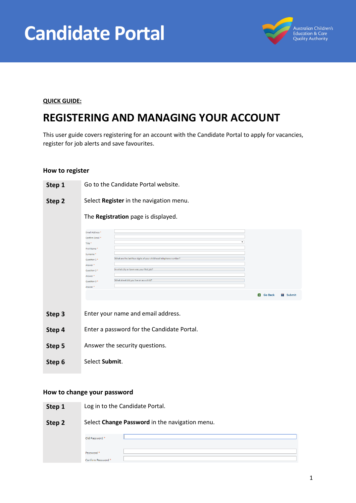



#### **QUICK GUIDE:**

# **REGISTERING AND MANAGING YOUR ACCOUNT**

This user guide covers registering for an account with the Candidate Portal to apply for vacancies, register for job alerts and save favourites.

#### **How to register**



### **How to change your password**

**Step 1** Log in to the Candidate Portal.

| Step 2 | Select Change Password in the navigation menu. |  |
|--------|------------------------------------------------|--|
|        | Old Password <sup>*</sup>                      |  |
|        | Password <sup>*</sup>                          |  |
|        | Confirm Password *                             |  |